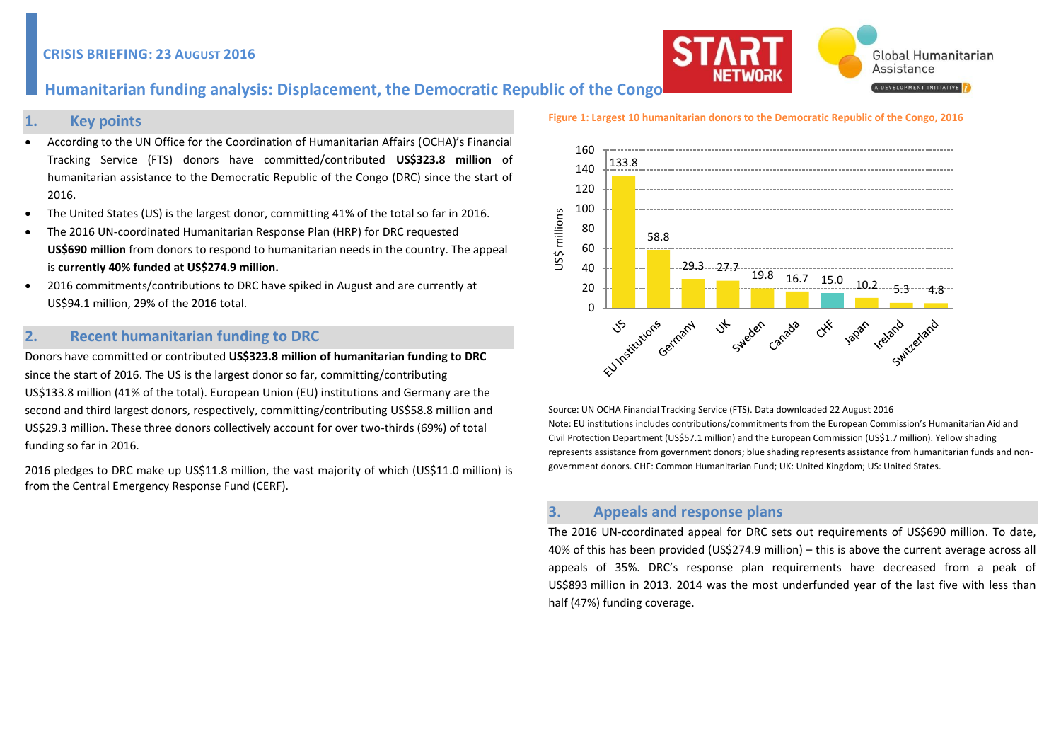

# **Humanitarian funding analysis: Displacement, the Democratic Republic of the Congo**

## **1. Key points**

- According to the UN Office for the Coordination of Humanitarian Affairs (OCHA)'s Financial Tracking Service (FTS) donors have committed/contributed **US\$323.8 million** of humanitarian assistance to the Democratic Republic of the Congo (DRC) since the start of 2016.
- The United States (US) is the largest donor, committing 41% of the total so far in 2016.
- The 2016 UN-coordinated Humanitarian Response Plan (HRP) for DRC requested **US\$690 million** from donors to respond to humanitarian needs in the country. The appeal is **currently 40% funded at US\$274.9 million.**
- 2016 commitments/contributions to DRC have spiked in August and are currently at US\$94.1 million, 29% of the 2016 total.

# **2. Recent humanitarian funding to DRC**

Donors have committed or contributed **US\$323.8 million of humanitarian funding to DRC** since the start of 2016. The US is the largest donor so far, committing/contributing US\$133.8 million (41% of the total). European Union (EU) institutions and Germany are the second and third largest donors, respectively, committing/contributing US\$58.8 million and US\$29.3 million. These three donors collectively account for over two-thirds (69%) of total funding so far in 2016.

2016 pledges to DRC make up US\$11.8 million, the vast majority of which (US\$11.0 million) is from the Central Emergency Response Fund (CERF).

#### **Figure 1: Largest 10 humanitarian donors to the Democratic Republic of the Congo, 2016**



Source: UN OCHA Financial Tracking Service (FTS). Data downloaded 22 August 2016 Note: EU institutions includes contributions/commitments from the European Commission's Humanitarian Aid and Civil Protection Department (US\$57.1 million) and the European Commission (US\$1.7 million). Yellow shading represents assistance from government donors; blue shading represents assistance from humanitarian funds and nongovernment donors. CHF: Common Humanitarian Fund; UK: United Kingdom; US: United States.

# **3. Appeals and response plans**

The 2016 UN-coordinated appeal for DRC sets out requirements of US\$690 million. To date, 40% of this has been provided (US\$274.9 million) – this is above the current average across all appeals of 35%. DRC's response plan requirements have decreased from a peak of US\$893 million in 2013. 2014 was the most underfunded year of the last five with less than half (47%) funding coverage.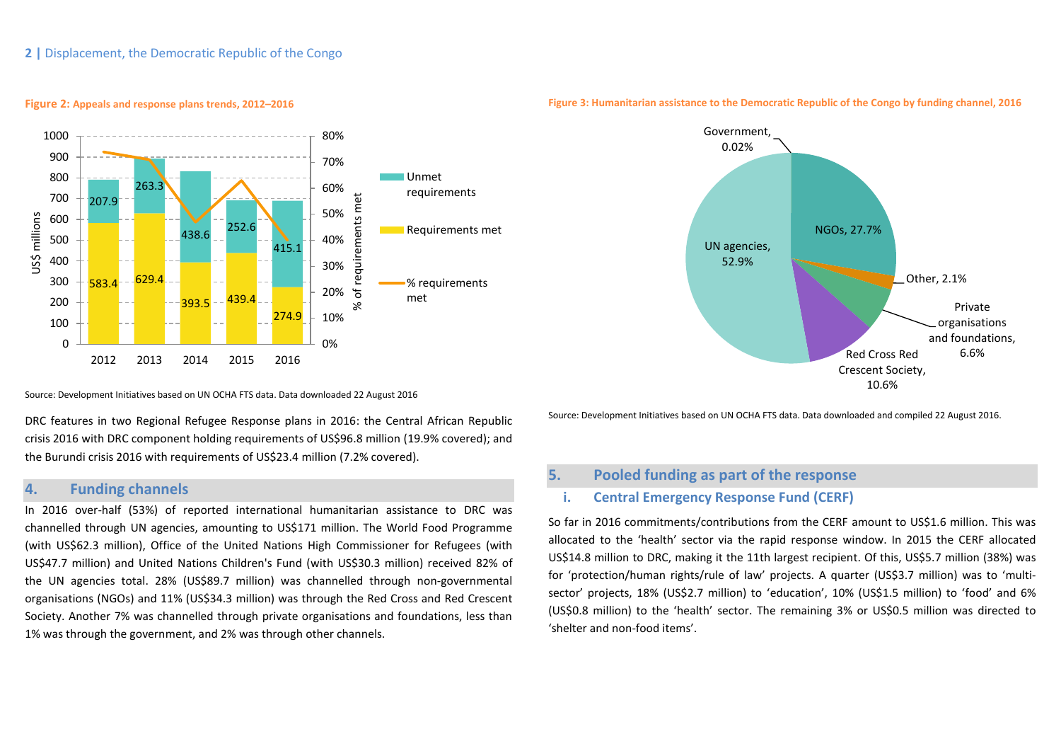

#### **Figure 2: Appeals and response plans trends, 2012–2016**

Source: Development Initiatives based on UN OCHA FTS data. Data downloaded 22 August 2016

DRC features in two Regional Refugee Response plans in 2016: the Central African Republic crisis 2016 with DRC component holding requirements of US\$96.8 million (19.9% covered); and the Burundi crisis 2016 with requirements of US\$23.4 million (7.2% covered).

## **4. Funding channels**

In 2016 over-half (53%) of reported international humanitarian assistance to DRC was channelled through UN agencies, amounting to US\$171 million. The World Food Programme (with US\$62.3 million), Office of the United Nations High Commissioner for Refugees (with US\$47.7 million) and United Nations Children's Fund (with US\$30.3 million) received 82% of the UN agencies total. 28% (US\$89.7 million) was channelled through non-governmental organisations (NGOs) and 11% (US\$34.3 million) was through the Red Cross and Red Crescent Society. Another 7% was channelled through private organisations and foundations, less than 1% was through the government, and 2% was through other channels.



**Figure 3: Humanitarian assistance to the Democratic Republic of the Congo by funding channel, 2016**

Source: Development Initiatives based on UN OCHA FTS data. Data downloaded and compiled 22 August 2016.

## **5. Pooled funding as part of the response**

### **i. Central Emergency Response Fund (CERF)**

So far in 2016 commitments/contributions from the CERF amount to US\$1.6 million. This was allocated to the 'health' sector via the rapid response window. In 2015 the CERF allocated US\$14.8 million to DRC, making it the 11th largest recipient. Of this, US\$5.7 million (38%) was for 'protection/human rights/rule of law' projects. A quarter (US\$3.7 million) was to 'multisector' projects, 18% (US\$2.7 million) to 'education', 10% (US\$1.5 million) to 'food' and 6% (US\$0.8 million) to the 'health' sector. The remaining 3% or US\$0.5 million was directed to 'shelter and non-food items'.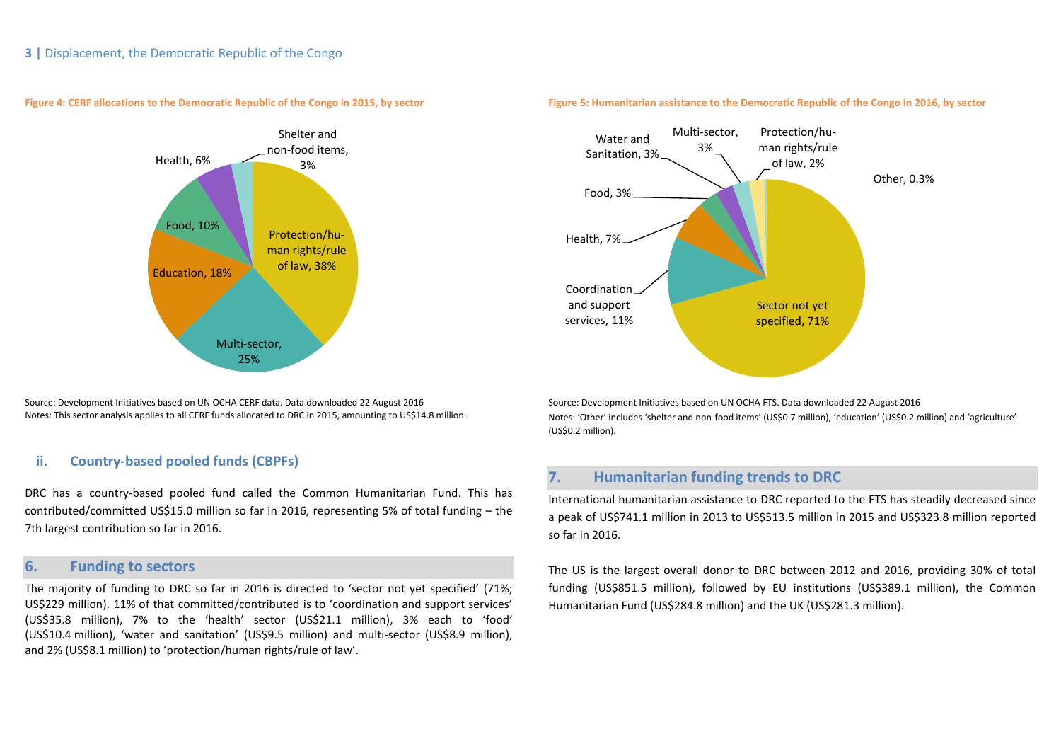

#### **Figure 4: CERF allocations to the Democratic Republic of the Congo in 2015, by sector**

Source: Development Initiatives based on UN OCHA CERF data. Data downloaded 22 August 2016 Notes: This sector analysis applies to all CERF funds allocated to DRC in 2015, amounting to US\$14.8 million.

## **ii. Country-based pooled funds (CBPFs)**

DRC has a country-based pooled fund called the Common Humanitarian Fund. This has contributed/committed US\$15.0 million so far in 2016, representing 5% of total funding – the 7th largest contribution so far in 2016.

## **6. Funding to sectors**

The majority of funding to DRC so far in 2016 is directed to 'sector not yet specified' (71%; US\$229 million). 11% of that committed/contributed is to 'coordination and support services' (US\$35.8 million), 7% to the 'health' sector (US\$21.1 million), 3% each to 'food' (US\$10.4 million), 'water and sanitation' (US\$9.5 million) and multi-sector (US\$8.9 million), and 2% (US\$8.1 million) to 'protection/human rights/rule of law'.



### **Figure 5: Humanitarian assistance to the Democratic Republic of the Congo in 2016, by sector**

Source: Development Initiatives based on UN OCHA FTS. Data downloaded 22 August 2016 Notes: 'Other' includes 'shelter and non-food items' (US\$0.7 million), 'education' (US\$0.2 million) and 'agriculture' (US\$0.2 million).

## **7. Humanitarian funding trends to DRC**

International humanitarian assistance to DRC reported to the FTS has steadily decreased since a peak of US\$741.1 million in 2013 to US\$513.5 million in 2015 and US\$323.8 million reported so far in 2016.

The US is the largest overall donor to DRC between 2012 and 2016, providing 30% of total funding (US\$851.5 million), followed by EU institutions (US\$389.1 million), the Common Humanitarian Fund (US\$284.8 million) and the UK (US\$281.3 million).